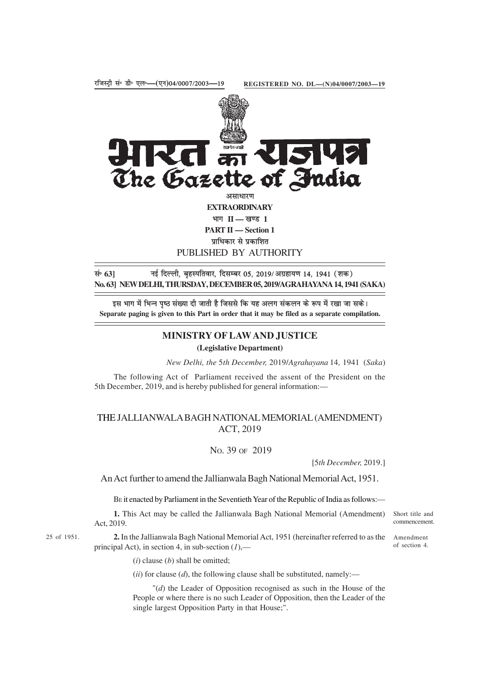

प्राधिकार से प्रकाशित PUBLISHED BY AUTHORITY

सं॰ 63] नई दिल्ली, बृहस्पतिवार, दिसम्बर 05, 2019/अग्रहायण 14, 1941 (शक) **No. 63] NEW DELHI, THURSDAY, DECEMBER 05, 2019/AGRAHAYANA 14, 1941 (SAKA)**

इस भाग में भिन्न पष्ठ संख्या दी जाती है जिससे कि यह अलग संकलन के रूप में रखा जा सके। **Separate paging is given to this Part in order that it may be filed as a separate compilation.**

## **MINISTRY OF LAW AND JUSTICE**

## **(Legislative Department)**

*New Delhi, the* 5*th December,* 2019/*Agrahayana* 14*,* 1941 (*Saka*)

The following Act of Parliament received the assent of the President on the 5th December, 2019, and is hereby published for general information:—

## THE JALLIANWALA BAGH NATIONAL MEMORIAL (AMENDMENT) ACT, 2019

## NO. 39 OF 2019

[5*th December,* 2019.]

An Act further to amend the Jallianwala Bagh National Memorial Act, 1951.

BE it enacted by Parliament in the Seventieth Year of the Republic of India as follows:—

**1.** This Act may be called the Jallianwala Bagh National Memorial (Amendment) Act, 2019.

25 of 1951.

**2.** In the Jallianwala Bagh National Memorial Act, 1951 (hereinafter referred to as the Amendment principal Act), in section 4, in sub-section (*1*),—

commencement. of section 4.

Short title and

(*i*) clause (*b*) shall be omitted;

 $(iii)$  for clause  $(d)$ , the following clause shall be substituted, namely:—

"(*d*) the Leader of Opposition recognised as such in the House of the People or where there is no such Leader of Opposition, then the Leader of the single largest Opposition Party in that House;".